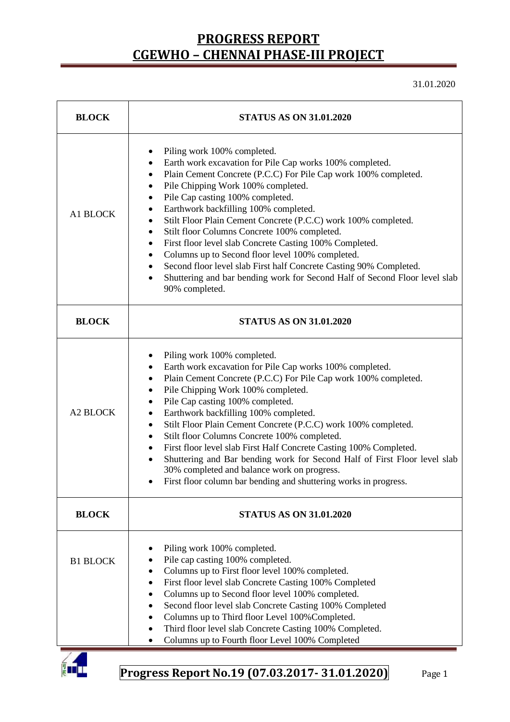31.01.2020

| <b>BLOCK</b>    | <b>STATUS AS ON 31.01.2020</b>                                                                                                                                                                                                                                                                                                                                                                                                                                                                                                                                                                                                                                                                                                         |  |  |  |  |
|-----------------|----------------------------------------------------------------------------------------------------------------------------------------------------------------------------------------------------------------------------------------------------------------------------------------------------------------------------------------------------------------------------------------------------------------------------------------------------------------------------------------------------------------------------------------------------------------------------------------------------------------------------------------------------------------------------------------------------------------------------------------|--|--|--|--|
| A1 BLOCK        | Piling work 100% completed.<br>٠<br>Earth work excavation for Pile Cap works 100% completed.<br>٠<br>Plain Cement Concrete (P.C.C) For Pile Cap work 100% completed.<br>٠<br>Pile Chipping Work 100% completed.<br>٠<br>Pile Cap casting 100% completed.<br>٠<br>Earthwork backfilling 100% completed.<br>٠<br>Stilt Floor Plain Cement Concrete (P.C.C) work 100% completed.<br>٠<br>Stilt floor Columns Concrete 100% completed.<br>First floor level slab Concrete Casting 100% Completed.<br>٠<br>Columns up to Second floor level 100% completed.<br>Second floor level slab First half Concrete Casting 90% Completed.<br>٠<br>Shuttering and bar bending work for Second Half of Second Floor level slab<br>٠<br>90% completed. |  |  |  |  |
| <b>BLOCK</b>    | <b>STATUS AS ON 31.01.2020</b>                                                                                                                                                                                                                                                                                                                                                                                                                                                                                                                                                                                                                                                                                                         |  |  |  |  |
| <b>A2 BLOCK</b> | Piling work 100% completed.<br>٠<br>Earth work excavation for Pile Cap works 100% completed.<br>٠<br>Plain Cement Concrete (P.C.C) For Pile Cap work 100% completed.<br>٠<br>Pile Chipping Work 100% completed.<br>٠<br>Pile Cap casting 100% completed.<br>٠<br>Earthwork backfilling 100% completed.<br>٠<br>Stilt Floor Plain Cement Concrete (P.C.C) work 100% completed.<br>٠<br>Stilt floor Columns Concrete 100% completed.<br>First floor level slab First Half Concrete Casting 100% Completed.<br>Shuttering and Bar bending work for Second Half of First Floor level slab<br>$\bullet$<br>30% completed and balance work on progress.<br>First floor column bar bending and shuttering works in progress.                  |  |  |  |  |
| <b>BLOCK</b>    | <b>STATUS AS ON 31.01.2020</b>                                                                                                                                                                                                                                                                                                                                                                                                                                                                                                                                                                                                                                                                                                         |  |  |  |  |
| <b>B1 BLOCK</b> | Piling work 100% completed.<br>Pile cap casting 100% completed.<br>Columns up to First floor level 100% completed.<br>First floor level slab Concrete Casting 100% Completed<br>Columns up to Second floor level 100% completed.<br>Second floor level slab Concrete Casting 100% Completed<br>Columns up to Third floor Level 100% Completed.<br>Third floor level slab Concrete Casting 100% Completed.<br>Columns up to Fourth floor Level 100% Completed                                                                                                                                                                                                                                                                           |  |  |  |  |

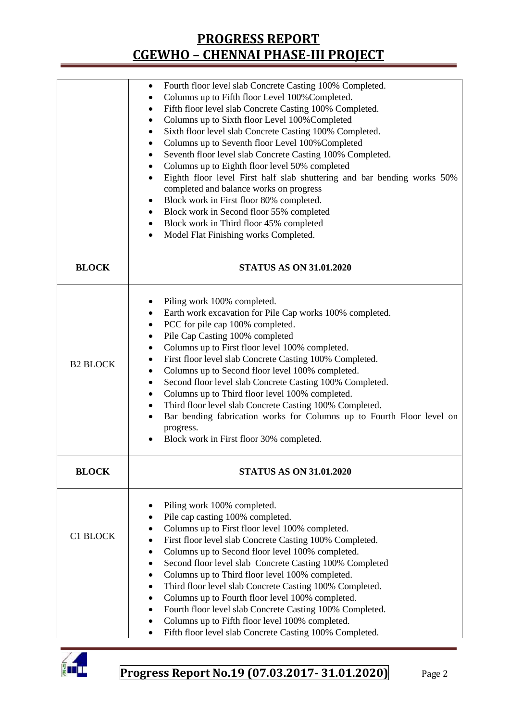|                 | Fourth floor level slab Concrete Casting 100% Completed.                                                     |  |  |  |  |  |
|-----------------|--------------------------------------------------------------------------------------------------------------|--|--|--|--|--|
|                 | Columns up to Fifth floor Level 100% Completed.                                                              |  |  |  |  |  |
|                 | Fifth floor level slab Concrete Casting 100% Completed.<br>٠                                                 |  |  |  |  |  |
|                 | Columns up to Sixth floor Level 100% Completed<br>٠                                                          |  |  |  |  |  |
|                 | Sixth floor level slab Concrete Casting 100% Completed.<br>٠                                                 |  |  |  |  |  |
|                 | Columns up to Seventh floor Level 100% Completed                                                             |  |  |  |  |  |
|                 | Seventh floor level slab Concrete Casting 100% Completed.                                                    |  |  |  |  |  |
|                 |                                                                                                              |  |  |  |  |  |
|                 | Columns up to Eighth floor level 50% completed                                                               |  |  |  |  |  |
|                 | Eighth floor level First half slab shuttering and bar bending works 50%                                      |  |  |  |  |  |
|                 | completed and balance works on progress                                                                      |  |  |  |  |  |
|                 | Block work in First floor 80% completed.                                                                     |  |  |  |  |  |
|                 | Block work in Second floor 55% completed<br>٠                                                                |  |  |  |  |  |
|                 | Block work in Third floor 45% completed                                                                      |  |  |  |  |  |
|                 | Model Flat Finishing works Completed.                                                                        |  |  |  |  |  |
| <b>BLOCK</b>    | <b>STATUS AS ON 31.01.2020</b>                                                                               |  |  |  |  |  |
|                 |                                                                                                              |  |  |  |  |  |
|                 |                                                                                                              |  |  |  |  |  |
|                 | Piling work 100% completed.                                                                                  |  |  |  |  |  |
|                 | Earth work excavation for Pile Cap works 100% completed.                                                     |  |  |  |  |  |
|                 | PCC for pile cap 100% completed.<br>٠                                                                        |  |  |  |  |  |
|                 | Pile Cap Casting 100% completed                                                                              |  |  |  |  |  |
|                 | Columns up to First floor level 100% completed.                                                              |  |  |  |  |  |
| <b>B2 BLOCK</b> | First floor level slab Concrete Casting 100% Completed.                                                      |  |  |  |  |  |
|                 | Columns up to Second floor level 100% completed.                                                             |  |  |  |  |  |
|                 | Second floor level slab Concrete Casting 100% Completed.<br>٠                                                |  |  |  |  |  |
|                 | Columns up to Third floor level 100% completed.<br>٠                                                         |  |  |  |  |  |
|                 | Third floor level slab Concrete Casting 100% Completed.<br>$\bullet$                                         |  |  |  |  |  |
|                 | Bar bending fabrication works for Columns up to Fourth Floor level on<br>$\bullet$                           |  |  |  |  |  |
|                 | progress.                                                                                                    |  |  |  |  |  |
|                 | Block work in First floor 30% completed.                                                                     |  |  |  |  |  |
|                 |                                                                                                              |  |  |  |  |  |
| <b>BLOCK</b>    | <b>STATUS AS ON 31.01.2020</b>                                                                               |  |  |  |  |  |
|                 |                                                                                                              |  |  |  |  |  |
|                 | Piling work 100% completed.                                                                                  |  |  |  |  |  |
|                 | Pile cap casting 100% completed.                                                                             |  |  |  |  |  |
|                 |                                                                                                              |  |  |  |  |  |
| <b>C1 BLOCK</b> | Columns up to First floor level 100% completed.<br>$\bullet$                                                 |  |  |  |  |  |
|                 | First floor level slab Concrete Casting 100% Completed.<br>$\bullet$                                         |  |  |  |  |  |
|                 | Columns up to Second floor level 100% completed.                                                             |  |  |  |  |  |
|                 | Second floor level slab Concrete Casting 100% Completed<br>٠                                                 |  |  |  |  |  |
|                 | Columns up to Third floor level 100% completed.<br>$\bullet$                                                 |  |  |  |  |  |
|                 | Third floor level slab Concrete Casting 100% Completed.<br>٠                                                 |  |  |  |  |  |
|                 | Columns up to Fourth floor level 100% completed.<br>$\bullet$                                                |  |  |  |  |  |
|                 | Fourth floor level slab Concrete Casting 100% Completed.<br>٠                                                |  |  |  |  |  |
|                 | Columns up to Fifth floor level 100% completed.                                                              |  |  |  |  |  |
|                 | $\Gamma$ : $\Omega$ , $\Gamma$ , $\Omega$ , $\Omega$ , $\Omega$ , $\Omega$ , $\Omega$ , $\Omega$<br>$\cap$ . |  |  |  |  |  |



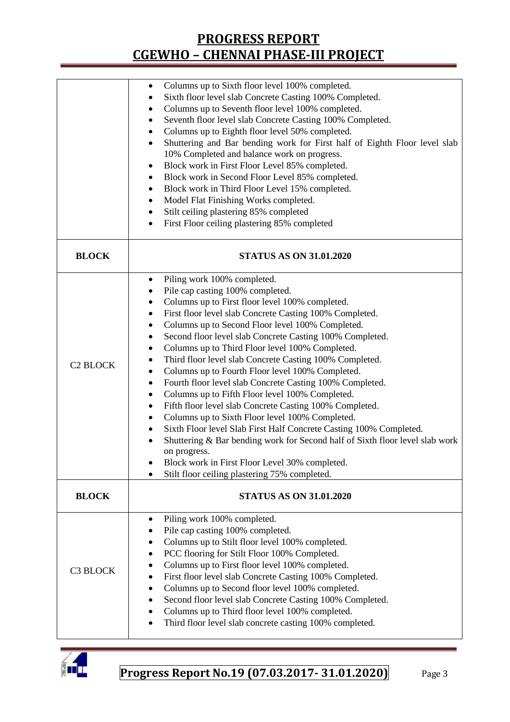|                 | Columns up to Sixth floor level 100% completed.<br>٠<br>Sixth floor level slab Concrete Casting 100% Completed.<br>Columns up to Seventh floor level 100% completed.<br>Seventh floor level slab Concrete Casting 100% Completed.<br>٠<br>Columns up to Eighth floor level 50% completed.<br>٠<br>Shuttering and Bar bending work for First half of Eighth Floor level slab<br>$\bullet$<br>10% Completed and balance work on progress.<br>Block work in First Floor Level 85% completed.<br>٠<br>Block work in Second Floor Level 85% completed.<br>٠<br>Block work in Third Floor Level 15% completed.<br>٠<br>Model Flat Finishing Works completed.<br>٠                                                                                                                                                                                                                                                                                                                                                                                                 |
|-----------------|-------------------------------------------------------------------------------------------------------------------------------------------------------------------------------------------------------------------------------------------------------------------------------------------------------------------------------------------------------------------------------------------------------------------------------------------------------------------------------------------------------------------------------------------------------------------------------------------------------------------------------------------------------------------------------------------------------------------------------------------------------------------------------------------------------------------------------------------------------------------------------------------------------------------------------------------------------------------------------------------------------------------------------------------------------------|
|                 | Stilt ceiling plastering 85% completed<br>٠<br>First Floor ceiling plastering 85% completed<br>٠                                                                                                                                                                                                                                                                                                                                                                                                                                                                                                                                                                                                                                                                                                                                                                                                                                                                                                                                                            |
| <b>BLOCK</b>    | <b>STATUS AS ON 31.01.2020</b>                                                                                                                                                                                                                                                                                                                                                                                                                                                                                                                                                                                                                                                                                                                                                                                                                                                                                                                                                                                                                              |
| <b>C2 BLOCK</b> | Piling work 100% completed.<br>٠<br>Pile cap casting 100% completed.<br>٠<br>Columns up to First floor level 100% completed.<br>٠<br>First floor level slab Concrete Casting 100% Completed.<br>$\bullet$<br>Columns up to Second Floor level 100% Completed.<br>٠<br>Second floor level slab Concrete Casting 100% Completed.<br>٠<br>Columns up to Third Floor level 100% Completed.<br>٠<br>Third floor level slab Concrete Casting 100% Completed.<br>$\bullet$<br>Columns up to Fourth Floor level 100% Completed.<br>٠<br>Fourth floor level slab Concrete Casting 100% Completed.<br>٠<br>Columns up to Fifth Floor level 100% Completed.<br>٠<br>Fifth floor level slab Concrete Casting 100% Completed.<br>٠<br>Columns up to Sixth Floor level 100% Completed.<br>٠<br>Sixth Floor level Slab First Half Concrete Casting 100% Completed.<br>٠<br>Shuttering & Bar bending work for Second half of Sixth floor level slab work<br>on progress.<br>Block work in First Floor Level 30% completed.<br>Stilt floor ceiling plastering 75% completed. |
| <b>BLOCK</b>    | <b>STATUS AS ON 31.01.2020</b>                                                                                                                                                                                                                                                                                                                                                                                                                                                                                                                                                                                                                                                                                                                                                                                                                                                                                                                                                                                                                              |
| C3 BLOCK        | Piling work 100% completed.<br>٠<br>Pile cap casting 100% completed.<br>Columns up to Stilt floor level 100% completed.<br>٠<br>PCC flooring for Stilt Floor 100% Completed.<br>٠<br>Columns up to First floor level 100% completed.<br>٠<br>First floor level slab Concrete Casting 100% Completed.<br>٠<br>Columns up to Second floor level 100% completed.<br>٠<br>Second floor level slab Concrete Casting 100% Completed.<br>٠<br>Columns up to Third floor level 100% completed.<br>Third floor level slab concrete casting 100% completed.                                                                                                                                                                                                                                                                                                                                                                                                                                                                                                           |

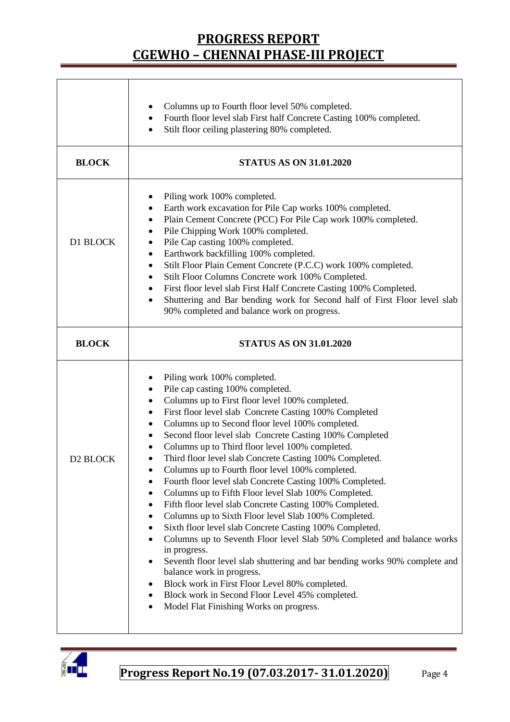|                      | Columns up to Fourth floor level 50% completed.<br>Fourth floor level slab First half Concrete Casting 100% completed.<br>$\bullet$<br>Stilt floor ceiling plastering 80% completed.<br>$\bullet$                                                                                                                                                                                                                                                                                                                                                                                                                                                                                                                                                                                                                                                                                                                                                                                                                                                                                                                                                                                                                                                  |  |  |  |  |
|----------------------|----------------------------------------------------------------------------------------------------------------------------------------------------------------------------------------------------------------------------------------------------------------------------------------------------------------------------------------------------------------------------------------------------------------------------------------------------------------------------------------------------------------------------------------------------------------------------------------------------------------------------------------------------------------------------------------------------------------------------------------------------------------------------------------------------------------------------------------------------------------------------------------------------------------------------------------------------------------------------------------------------------------------------------------------------------------------------------------------------------------------------------------------------------------------------------------------------------------------------------------------------|--|--|--|--|
| <b>BLOCK</b>         | <b>STATUS AS ON 31.01.2020</b>                                                                                                                                                                                                                                                                                                                                                                                                                                                                                                                                                                                                                                                                                                                                                                                                                                                                                                                                                                                                                                                                                                                                                                                                                     |  |  |  |  |
| D1 BLOCK             | Piling work 100% completed.<br>٠<br>Earth work excavation for Pile Cap works 100% completed.<br>٠<br>Plain Cement Concrete (PCC) For Pile Cap work 100% completed.<br>$\bullet$<br>Pile Chipping Work 100% completed.<br>٠<br>Pile Cap casting 100% completed.<br>$\bullet$<br>Earthwork backfilling 100% completed.<br>٠<br>Stilt Floor Plain Cement Concrete (P.C.C) work 100% completed.<br>$\bullet$<br>Stilt Floor Columns Concrete work 100% Completed.<br>٠<br>First floor level slab First Half Concrete Casting 100% Completed.<br>$\bullet$<br>Shuttering and Bar bending work for Second half of First Floor level slab<br>$\bullet$<br>90% completed and balance work on progress.                                                                                                                                                                                                                                                                                                                                                                                                                                                                                                                                                     |  |  |  |  |
| <b>BLOCK</b>         | <b>STATUS AS ON 31.01.2020</b>                                                                                                                                                                                                                                                                                                                                                                                                                                                                                                                                                                                                                                                                                                                                                                                                                                                                                                                                                                                                                                                                                                                                                                                                                     |  |  |  |  |
| D <sub>2</sub> BLOCK | Piling work 100% completed.<br>Pile cap casting 100% completed.<br>٠<br>Columns up to First floor level 100% completed.<br>٠<br>First floor level slab Concrete Casting 100% Completed<br>$\bullet$<br>Columns up to Second floor level 100% completed.<br>٠<br>Second floor level slab Concrete Casting 100% Completed<br>٠<br>Columns up to Third floor level 100% completed.<br>Third floor level slab Concrete Casting 100% Completed.<br>$\bullet$<br>Columns up to Fourth floor level 100% completed.<br>Fourth floor level slab Concrete Casting 100% Completed.<br>Columns up to Fifth Floor level Slab 100% Completed.<br>Fifth floor level slab Concrete Casting 100% Completed.<br>$\bullet$<br>Columns up to Sixth Floor level Slab 100% Completed.<br>٠<br>Sixth floor level slab Concrete Casting 100% Completed.<br>٠<br>Columns up to Seventh Floor level Slab 50% Completed and balance works<br>$\bullet$<br>in progress.<br>Seventh floor level slab shuttering and bar bending works 90% complete and<br>$\bullet$<br>balance work in progress.<br>Block work in First Floor Level 80% completed.<br>٠<br>Block work in Second Floor Level 45% completed.<br>$\bullet$<br>Model Flat Finishing Works on progress.<br>$\bullet$ |  |  |  |  |

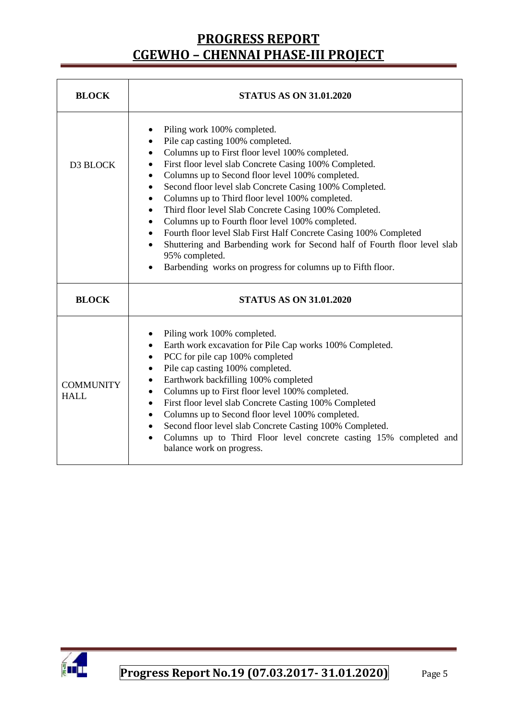| <b>BLOCK</b>                    | <b>STATUS AS ON 31.01.2020</b>                                                                                                                                                                                                                                                                                                                                                                                                                                                                                                                                                                                                                                                                                                                                                                                            |  |  |  |  |
|---------------------------------|---------------------------------------------------------------------------------------------------------------------------------------------------------------------------------------------------------------------------------------------------------------------------------------------------------------------------------------------------------------------------------------------------------------------------------------------------------------------------------------------------------------------------------------------------------------------------------------------------------------------------------------------------------------------------------------------------------------------------------------------------------------------------------------------------------------------------|--|--|--|--|
| D3 BLOCK                        | Piling work 100% completed.<br>Pile cap casting 100% completed.<br>$\bullet$<br>Columns up to First floor level 100% completed.<br>First floor level slab Concrete Casing 100% Completed.<br>٠<br>Columns up to Second floor level 100% completed.<br>$\bullet$<br>Second floor level slab Concrete Casing 100% Completed.<br>$\bullet$<br>Columns up to Third floor level 100% completed.<br>$\bullet$<br>Third floor level Slab Concrete Casing 100% Completed.<br>$\bullet$<br>Columns up to Fourth floor level 100% completed.<br>$\bullet$<br>Fourth floor level Slab First Half Concrete Casing 100% Completed<br>$\bullet$<br>Shuttering and Barbending work for Second half of Fourth floor level slab<br>$\bullet$<br>95% completed.<br>Barbending works on progress for columns up to Fifth floor.<br>$\bullet$ |  |  |  |  |
| <b>BLOCK</b>                    | <b>STATUS AS ON 31.01.2020</b>                                                                                                                                                                                                                                                                                                                                                                                                                                                                                                                                                                                                                                                                                                                                                                                            |  |  |  |  |
| <b>COMMUNITY</b><br><b>HALL</b> | Piling work 100% completed.<br>Earth work excavation for Pile Cap works 100% Completed.<br>$\bullet$<br>PCC for pile cap 100% completed<br>$\bullet$<br>Pile cap casting 100% completed.<br>$\bullet$<br>Earthwork backfilling 100% completed<br>$\bullet$<br>Columns up to First floor level 100% completed.<br>$\bullet$<br>First floor level slab Concrete Casting 100% Completed<br>$\bullet$<br>Columns up to Second floor level 100% completed.<br>$\bullet$<br>Second floor level slab Concrete Casting 100% Completed.<br>$\bullet$<br>Columns up to Third Floor level concrete casting 15% completed and<br>$\bullet$<br>balance work on progress.                                                                                                                                                               |  |  |  |  |

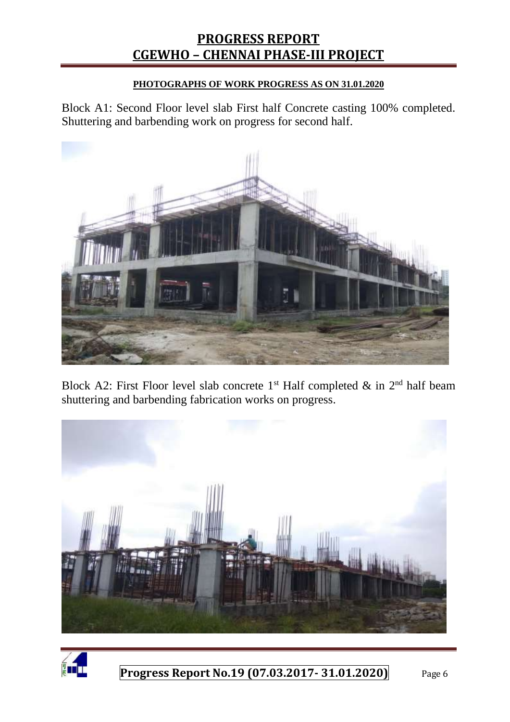#### **PHOTOGRAPHS OF WORK PROGRESS AS ON 31.01.2020**

Block A1: Second Floor level slab First half Concrete casting 100% completed. Shuttering and barbending work on progress for second half.



Block A2: First Floor level slab concrete  $1<sup>st</sup>$  Half completed & in  $2<sup>nd</sup>$  half beam shuttering and barbending fabrication works on progress.



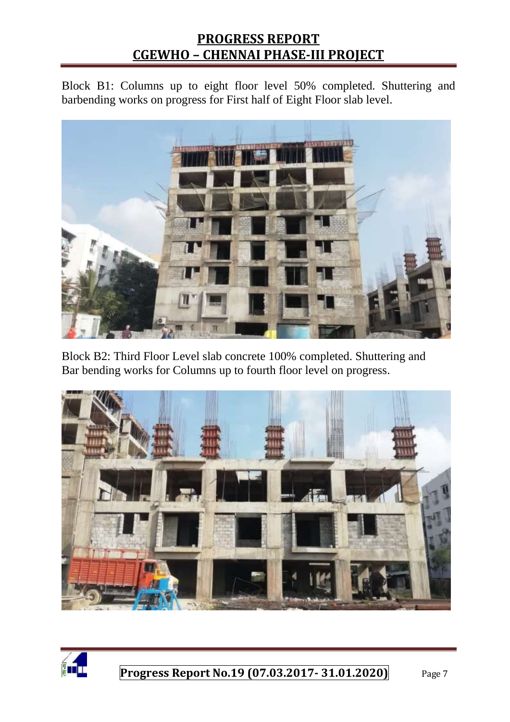Block B1: Columns up to eight floor level 50% completed. Shuttering and barbending works on progress for First half of Eight Floor slab level.



Block B2: Third Floor Level slab concrete 100% completed. Shuttering and Bar bending works for Columns up to fourth floor level on progress.



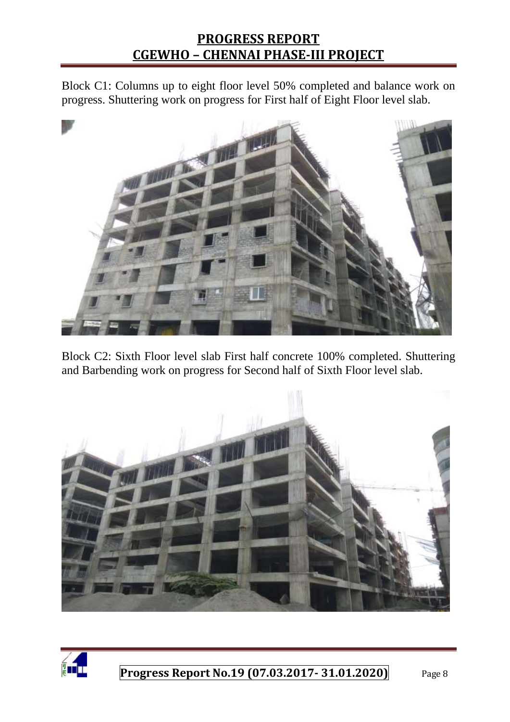Block C1: Columns up to eight floor level 50% completed and balance work on progress. Shuttering work on progress for First half of Eight Floor level slab.



Block C2: Sixth Floor level slab First half concrete 100% completed. Shuttering and Barbending work on progress for Second half of Sixth Floor level slab.



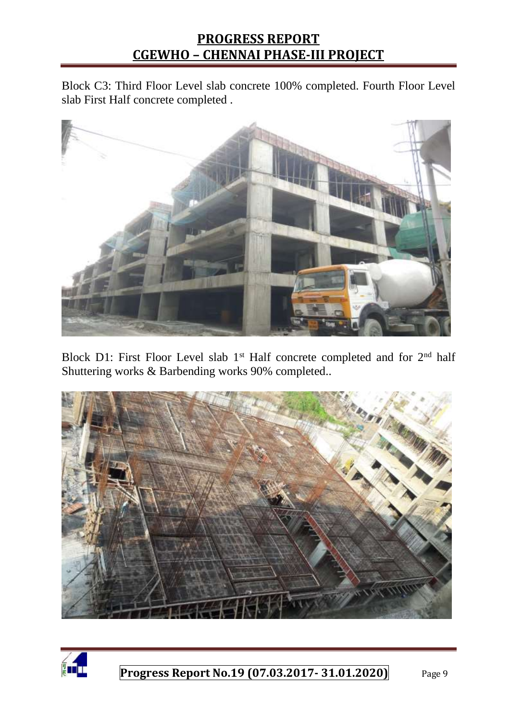Block C3: Third Floor Level slab concrete 100% completed. Fourth Floor Level slab First Half concrete completed .



Block D1: First Floor Level slab 1<sup>st</sup> Half concrete completed and for 2<sup>nd</sup> half Shuttering works & Barbending works 90% completed..



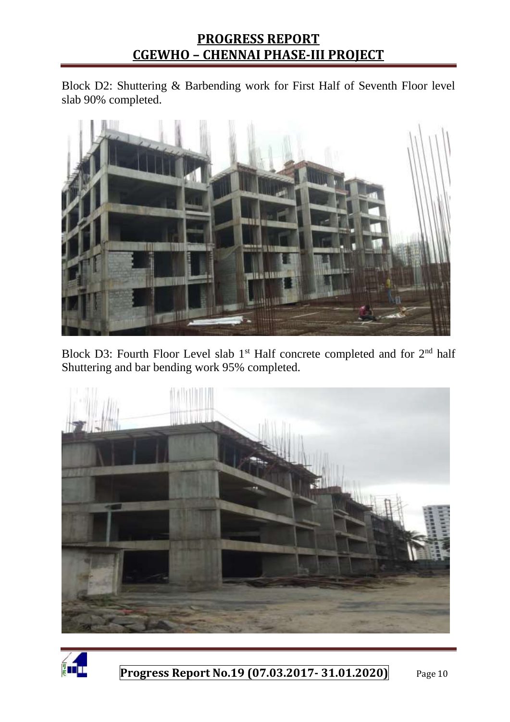Block D2: Shuttering & Barbending work for First Half of Seventh Floor level slab 90% completed.



Block D3: Fourth Floor Level slab  $1<sup>st</sup>$  Half concrete completed and for  $2<sup>nd</sup>$  half Shuttering and bar bending work 95% completed.



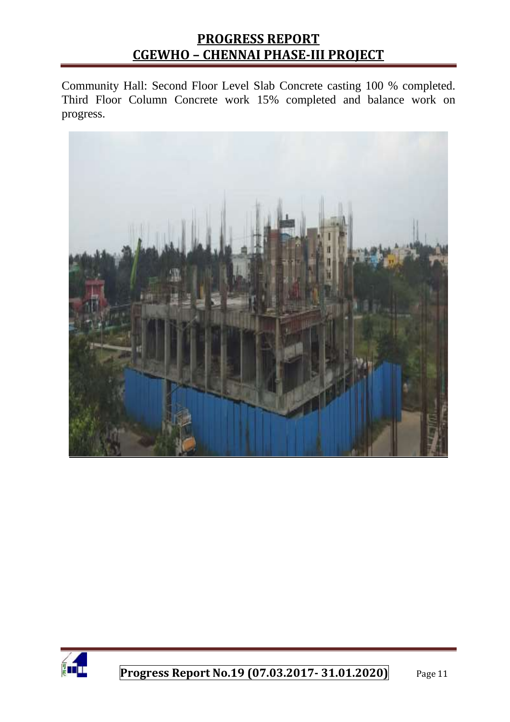Community Hall: Second Floor Level Slab Concrete casting 100 % completed. Third Floor Column Concrete work 15% completed and balance work on progress.



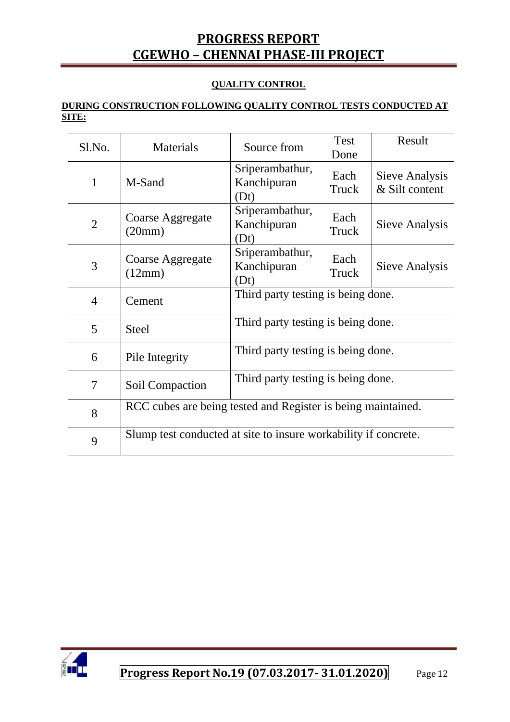#### **QUALITY CONTROL**

#### **DURING CONSTRUCTION FOLLOWING QUALITY CONTROL TESTS CONDUCTED AT SITE:**

| Sl.No.         | Materials                                                       | Source from                            | Test<br>Done  | Result                           |  |
|----------------|-----------------------------------------------------------------|----------------------------------------|---------------|----------------------------------|--|
| $\mathbf{1}$   | M-Sand                                                          | Sriperambathur,<br>Kanchipuran<br>(Dt) | Each<br>Truck | Sieve Analysis<br>& Silt content |  |
| $\overline{2}$ | Coarse Aggregate<br>(20mm)                                      | Sriperambathur,<br>Kanchipuran<br>(Dt) | Each<br>Truck | Sieve Analysis                   |  |
| 3              | Coarse Aggregate<br>(12mm)                                      | Sriperambathur,<br>Kanchipuran<br>(Dt) | Each<br>Truck | Sieve Analysis                   |  |
| $\overline{4}$ | Cement                                                          | Third party testing is being done.     |               |                                  |  |
| 5              | <b>Steel</b>                                                    | Third party testing is being done.     |               |                                  |  |
| 6              | Pile Integrity                                                  | Third party testing is being done.     |               |                                  |  |
| 7              | Soil Compaction                                                 | Third party testing is being done.     |               |                                  |  |
| 8              | RCC cubes are being tested and Register is being maintained.    |                                        |               |                                  |  |
| 9              | Slump test conducted at site to insure workability if concrete. |                                        |               |                                  |  |

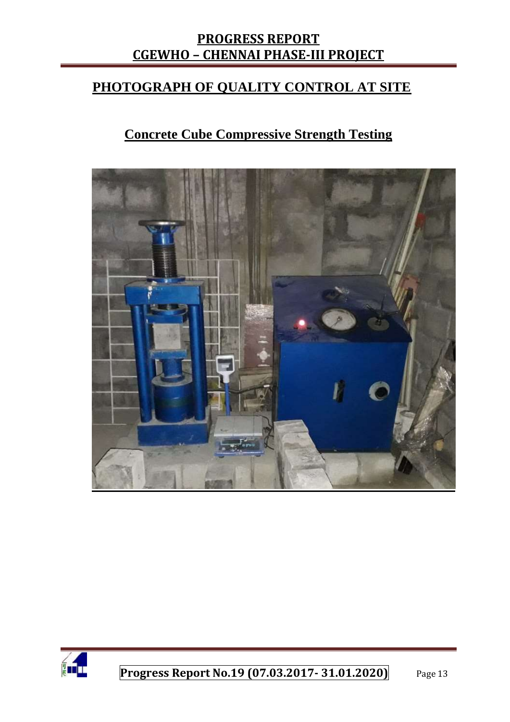# **PHOTOGRAPH OF QUALITY CONTROL AT SITE**

# **Concrete Cube Compressive Strength Testing**



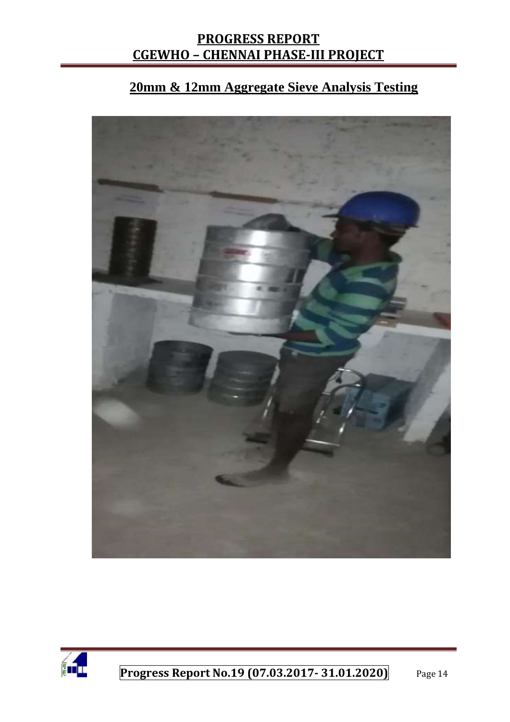# **20mm & 12mm Aggregate Sieve Analysis Testing**